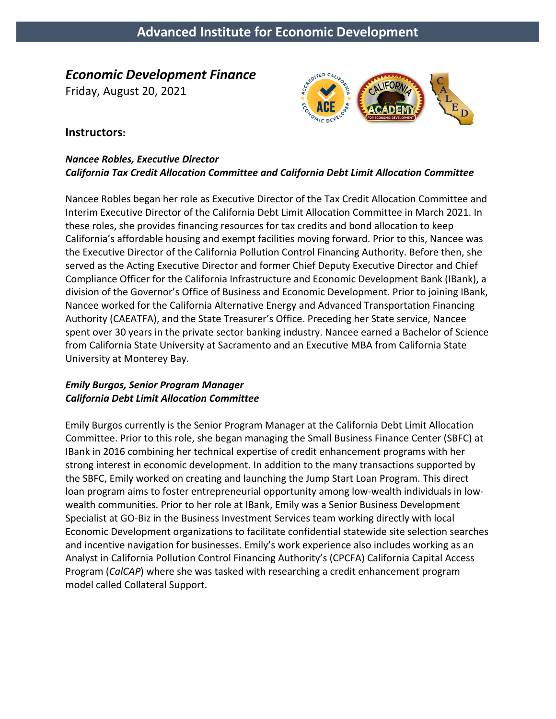# *Economic Development Finance*

Friday, August 20, 2021



#### **Instructors:**

#### *Nancee Robles, Executive Director California Tax Credit Allocation Committee and California Debt Limit Allocation Committee*

Nancee Robles began her role as Executive Director of the Tax Credit Allocation Committee and Interim Executive Director of the California Debt Limit Allocation Committee in March 2021. In these roles, she provides financing resources for tax credits and bond allocation to keep California's affordable housing and exempt facilities moving forward. Prior to this, Nancee was the Executive Director of the California Pollution Control Financing Authority. Before then, she served as the Acting Executive Director and former Chief Deputy Executive Director and Chief Compliance Officer for the California Infrastructure and Economic Development Bank (IBank), a division of the Governor's Office of Business and Economic Development. Prior to joining IBank, Nancee worked for the California Alternative Energy and Advanced Transportation Financing Authority (CAEATFA), and the State Treasurer's Office. Preceding her State service, Nancee spent over 30 years in the private sector banking industry. Nancee earned a Bachelor of Science from California State University at Sacramento and an Executive MBA from California State University at Monterey Bay.

#### *Emily Burgos, Senior Program Manager California Debt Limit Allocation Committee*

Emily Burgos currently is the Senior Program Manager at the California Debt Limit Allocation Committee. Prior to this role, she began managing the Small Business Finance Center (SBFC) at IBank in 2016 combining her technical expertise of credit enhancement programs with her strong interest in economic development. In addition to the many transactions supported by the SBFC, Emily worked on creating and launching the Jump Start Loan Program. This direct loan program aims to foster entrepreneurial opportunity among low-wealth individuals in lowwealth communities. Prior to her role at IBank, Emily was a Senior Business Development Specialist at GO-Biz in the Business Investment Services team working directly with local Economic Development organizations to facilitate confidential statewide site selection searches and incentive navigation for businesses. Emily's work experience also includes working as an Analyst in California Pollution Control Financing Authority's (CPCFA) California Capital Access Program (*CalCAP*) where she was tasked with researching a credit enhancement program model called Collateral Support.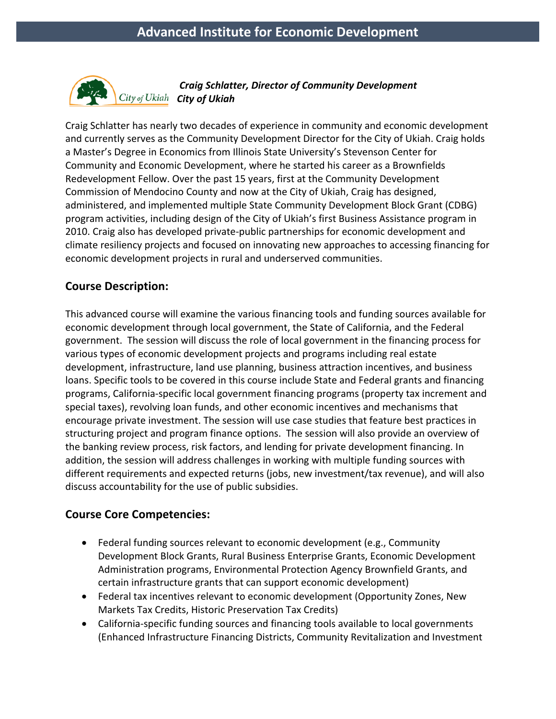

*Craig Schlatter, Director of Community Development City of Ukiah*

Craig Schlatter has nearly two decades of experience in community and economic development and currently serves as the Community Development Director for the City of Ukiah. Craig holds a Master's Degree in Economics from Illinois State University's Stevenson Center for Community and Economic Development, where he started his career as a Brownfields Redevelopment Fellow. Over the past 15 years, first at the Community Development Commission of Mendocino County and now at the City of Ukiah, Craig has designed, administered, and implemented multiple State Community Development Block Grant (CDBG) program activities, including design of the City of Ukiah's first Business Assistance program in 2010. Craig also has developed private-public partnerships for economic development and climate resiliency projects and focused on innovating new approaches to accessing financing for economic development projects in rural and underserved communities.

## **Course Description:**

This advanced course will examine the various financing tools and funding sources available for economic development through local government, the State of California, and the Federal government. The session will discuss the role of local government in the financing process for various types of economic development projects and programs including real estate development, infrastructure, land use planning, business attraction incentives, and business loans. Specific tools to be covered in this course include State and Federal grants and financing programs, California-specific local government financing programs (property tax increment and special taxes), revolving loan funds, and other economic incentives and mechanisms that encourage private investment. The session will use case studies that feature best practices in structuring project and program finance options. The session will also provide an overview of the banking review process, risk factors, and lending for private development financing. In addition, the session will address challenges in working with multiple funding sources with different requirements and expected returns (jobs, new investment/tax revenue), and will also discuss accountability for the use of public subsidies.

## **Course Core Competencies:**

- Federal funding sources relevant to economic development (e.g., Community Development Block Grants, Rural Business Enterprise Grants, Economic Development Administration programs, Environmental Protection Agency Brownfield Grants, and certain infrastructure grants that can support economic development)
- Federal tax incentives relevant to economic development (Opportunity Zones, New Markets Tax Credits, Historic Preservation Tax Credits)
- California-specific funding sources and financing tools available to local governments (Enhanced Infrastructure Financing Districts, Community Revitalization and Investment